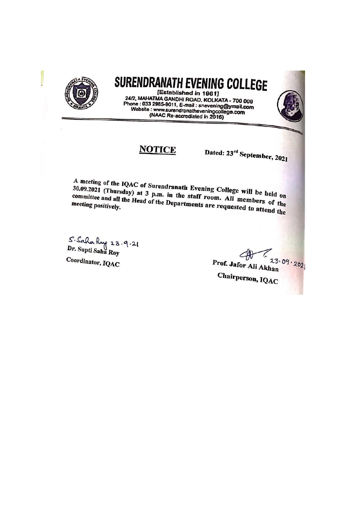

## SURENDRANATH EVENING COLLEGE

[Established in 1961] 24/2, MAHATMA GANDHI ROAD, KOLKATA - 700 009 Phone: 033 2985-9011, E-mail: snevening@ymail.com Website : www.surendranatheveningcollege.com<br>(NAAC Re-accrediated in 2016)

## **NOTICE**

Dated: 23rd September, 2021

A meeting of the IQAC of Surendranath Evening College will be held on 30.09.2021 (Thursday) at 3 p.m. in the staff room. All members of the committee and all the Head of the Departments are requested to attend the

S. Saha Ruy 23.9.21<br>Dr. Supti Saha Roy Coordinator, IQAC

 $23.09.202$ Prof. Jafor Ali Akhan Chairperson, IQAC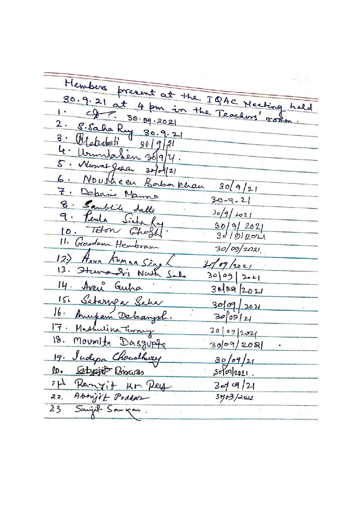$\mathcal{F}=\mathcal{F}^{\mathbb{R}}_{\mathcal{F}}$  and Members present at the IBAC Heating 30.9.21 at 4 pm in the Teachers' room hald  $\mathbf{I}$  .  $30.09.202$ 2. S. Saha Ruy 30.9.21 Matechoti  $36 | 9 | 21$ UrmulaSen 35/9/4.  $4 \cdot$ 5. Numat Jakan  $30/08/2$ 6. Nousheau Bassa Khan  $30(9/2)$ 7. Deparis Manna  $30 - 9 - 21$ 8. Sanblike Satte  $30/9/2021$ 9. Peula Sinta  $\frac{30}{9}$   $\frac{9}{2021}$ 10. Teton Cheff 11. Georges Hembran  $30/09/2021$ 12) Anya Kuman Sing  $319/2021$ 13. Sturandri Nath Sale  $30|09|201$ 14. Aven Guiha  $30092021$ 151 Satarpa Saha 30/09/2021 16. Anupam Debangsh.  $3009121$ 17. Madmiina Tiway  $3009202$ 18. Mounter Dasgupta  $3009/208$  $\cdot$ 19. Sudepa Choudhirey  $30/09/21$ 10. Satyajit Biscos  $3009|2021$ . 21 Remyit Kr. Pey.<br>22. Abrigit Podder  $3 - 4 - 9/21$  $3409/201$